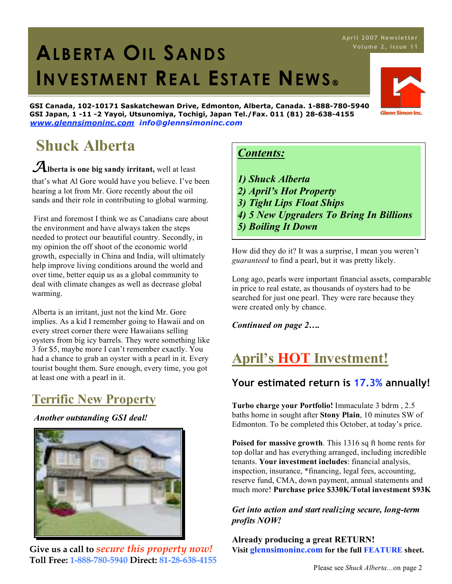# 1. **ALBERTA OIL SANDS INVESTMENT REAL ESTATE NEWS**

**GSI Canada, 102-10171 Saskatchewan Drive, Edmonton, Alberta, Canada. 1-888-780-5940 GSI Japan, 1 -11 -2 Yayoi, Utsunomiya, Tochigi, Japan Tel./Fax. 011 (81) 28-638-4155** *www.glennsimoninc.com info@glennsimoninc.com*

## **Shuck Alberta**

*A***lberta is one big sandy irritant,** well at least that's what Al Gore would have you believe. I've been hearing a lot from Mr. Gore recently about the oil sands and their role in contributing to global warming.

First and foremost I think we as Canadians care about the environment and have always taken the steps needed to protect our beautiful country. Secondly, in my opinion the off shoot of the economic world growth, especially in China and India, will ultimately help improve living conditions around the world and over time, better equip us as a global community to deal with climate changes as well as decrease global warming.

Alberta is an irritant, just not the kind Mr. Gore implies. As a kid I remember going to Hawaii and on every street corner there were Hawaiians selling oysters from big icy barrels. They were something like 3 for \$5, maybe more I can't remember exactly. You had a chance to grab an oyster with a pearl in it. Every tourist bought them. Sure enough, every time, you got at least one with a pearl in it.

## **Terrific New Property**

*Another outstanding GSI deal!*



**Give us a call to** *secure this property now!* **Toll Free: 1-888-780-5940 Direct: 81-28-638-4155**

### *Contents:*

- *1) Shuck Alberta*
- *2) April's Hot Property*
- *3) Tight Lips Float Ships*
- *4) 5 New Upgraders To Bring In Billions*
- *5) Boiling It Down*

How did they do it? It was a surprise, I mean you weren't *guaranteed* to find a pearl, but it was pretty likely.

Long ago, pearls were important financial assets, comparable in price to real estate, as thousands of oysters had to be searched for just one pearl. They were rare because they were created only by chance.

*Continued on page 2….*

## **April's HOT Investment!**

### **Your estimated return is 17.3% annually!**

**Turbo charge your Portfolio!** Immaculate 3 bdrm , 2.5 baths home in sought after **Stony Plain**, 10 minutes SW of Edmonton. To be completed this October, at today's price.

**Poised for massive growth**. This 1316 sq ft home rents for top dollar and has everything arranged, including incredible tenants. **Your investment includes**: financial analysis, inspection, insurance, \*financing, legal fees, accounting, reserve fund, CMA, down payment, annual statements and much more! **Purchase price \$330K/Total investment \$93K**

*Get into action and start realizing secure, long-term profits NOW!*

**Already producing a great RETURN! Visit glennsimoninc.com for the full FEATURE sheet.**



**Apr il 2007 News le tte r**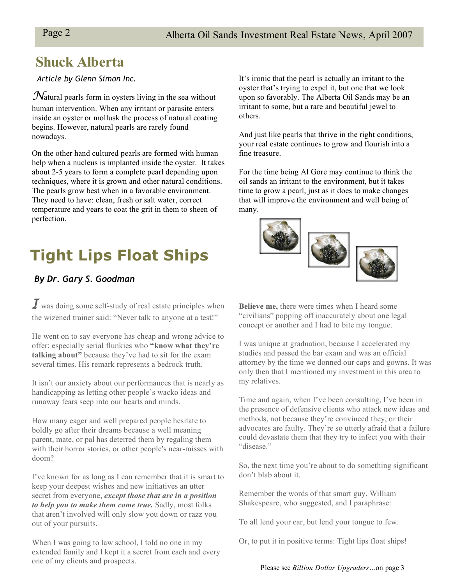### **Shuck Alberta**

### *Article by Glenn Simon Inc.*

*N*atural pearls form in oysters living in the sea without human intervention. When any irritant or parasite enters inside an oyster or mollusk the process of natural coating begins. However, natural pearls are rarely found nowadays.

On the other hand cultured pearls are formed with human help when a nucleus is implanted inside the oyster. It takes about 2-5 years to form a complete pearl depending upon techniques, where it is grown and other natural conditions. The pearls grow best when in a favorable environment. They need to have: clean, fresh or salt water, correct temperature and years to coat the grit in them to sheen of perfection.

## **Tight Lips Float Ships**

### *By Dr. Gary S. Goodman*

*I* was doing some self-study of real estate principles when the wizened trainer said: "Never talk to anyone at a test!"

He went on to say everyone has cheap and wrong advice to offer; especially serial flunkies who **"know what they're talking about"** because they've had to sit for the exam several times. His remark represents a bedrock truth.

It isn't our anxiety about our performances that is nearly as handicapping as letting other people's wacko ideas and runaway fears seep into our hearts and minds.

How many eager and well prepared people hesitate to boldly go after their dreams because a well meaning parent, mate, or pal has deterred them by regaling them with their horror stories, or other people's near-misses with doom?

I've known for as long as I can remember that it is smart to keep your deepest wishes and new initiatives an utter secret from everyone, *except those that are in a position to help you to make them come true.* Sadly, most folks that aren't involved will only slow you down or razz you out of your pursuits.

When I was going to law school, I told no one in my extended family and I kept it a secret from each and every one of my clients and prospects.

It's ironic that the pearl is actually an irritant to the oyster that's trying to expel it, but one that we look upon so favorably. The Alberta Oil Sands may be an irritant to some, but a rare and beautiful jewel to others.

And just like pearls that thrive in the right conditions, your real estate continues to grow and flourish into a fine treasure.

For the time being Al Gore may continue to think the oil sands an irritant to the environment, but it takes time to grow a pearl, just as it does to make changes that will improve the environment and well being of many.



**Believe me,** there were times when I heard some "civilians" popping off inaccurately about one legal concept or another and I had to bite my tongue.

I was unique at graduation, because I accelerated my studies and passed the bar exam and was an official attorney by the time we donned our caps and gowns. It was only then that I mentioned my investment in this area to my relatives.

Time and again, when I've been consulting, I've been in the presence of defensive clients who attack new ideas and methods, not because they're convinced they, or their advocates are faulty. They're so utterly afraid that a failure could devastate them that they try to infect you with their "disease."

So, the next time you're about to do something significant don't blab about it.

Remember the words of that smart guy, William Shakespeare, who suggested, and I paraphrase:

To all lend your ear, but lend your tongue to few.

Or, to put it in positive terms: Tight lips float ships!

Please see *Billion Dollar Upgraders…*on page 3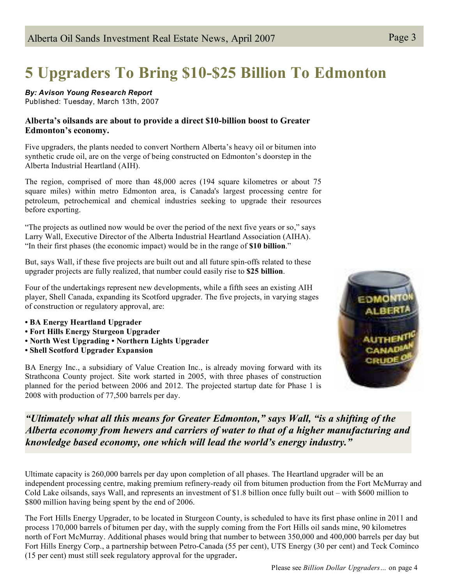## **5 Upgraders To Bring \$10-\$25 Billion To Edmonton**

#### *By: Avison Young Research Report*

Published: Tuesday, March 13th, 2007

#### **Alberta's oilsands are about to provide a direct \$10-billion boost to Greater Edmonton's economy.**

Five upgraders, the plants needed to convert Northern Alberta's heavy oil or bitumen into synthetic crude oil, are on the verge of being constructed on Edmonton's doorstep in the Alberta Industrial Heartland (AIH).

The region, comprised of more than 48,000 acres (194 square kilometres or about 75 square miles) within metro Edmonton area, is Canada's largest processing centre for petroleum, petrochemical and chemical industries seeking to upgrade their resources before exporting.

"The projects as outlined now would be over the period of the next five years or so," says Larry Wall, Executive Director of the Alberta Industrial Heartland Association (AIHA). "In their first phases (the economic impact) would be in the range of **\$10 billion**."

But, says Wall, if these five projects are built out and all future spin-offs related to these upgrader projects are fully realized, that number could easily rise to **\$25 billion**.

Four of the undertakings represent new developments, while a fifth sees an existing AIH player, Shell Canada, expanding its Scotford upgrader. The five projects, in varying stages of construction or regulatory approval, are:

- **• BA Energy Heartland Upgrader**
- **• Fort Hills Energy Sturgeon Upgrader**
- **• North West Upgrading • Northern Lights Upgrader**
- **• Shell Scotford Upgrader Expansion**

BA Energy Inc., a subsidiary of Value Creation Inc., is already moving forward with its Strathcona County project. Site work started in 2005, with three phases of construction planned for the period between 2006 and 2012. The projected startup date for Phase 1 is 2008 with production of 77,500 barrels per day.



*"Ultimately what all this means for Greater Edmonton," says Wall, "is a shifting of the Alberta economy from hewers and carriers of water to that of a higher manufacturing and knowledge based economy, one which will lead the world's energy industry."*

Ultimate capacity is 260,000 barrels per day upon completion of all phases. The Heartland upgrader will be an independent processing centre, making premium refinery-ready oil from bitumen production from the Fort McMurray and Cold Lake oilsands, says Wall, and represents an investment of \$1.8 billion once fully built out – with \$600 million to \$800 million having being spent by the end of 2006.

The Fort Hills Energy Upgrader, to be located in Sturgeon County, is scheduled to have its first phase online in 2011 and process 170,000 barrels of bitumen per day, with the supply coming from the Fort Hills oil sands mine, 90 kilometres north of Fort McMurray. Additional phases would bring that number to between 350,000 and 400,000 barrels per day but Fort Hills Energy Corp., a partnership between Petro-Canada (55 per cent), UTS Energy (30 per cent) and Teck Cominco (15 per cent) must still seek regulatory approval for the upgrader.